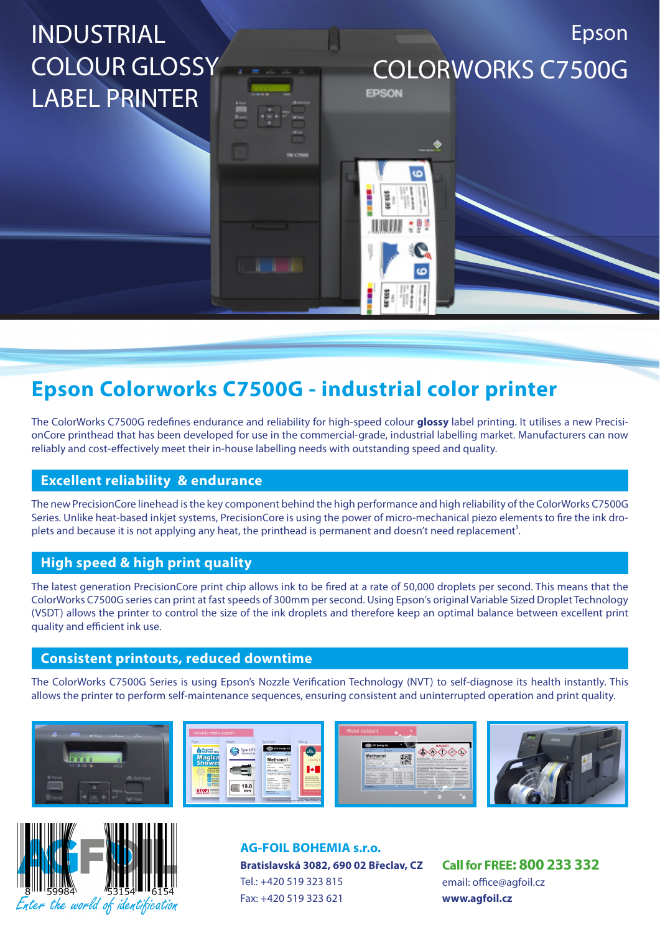# INDUSTRIAL COLOUR GLOSSY LABEL PRINTER

COLORWORKS C7500G

EPSON

Epson

# **Epson Colorworks C7500G - industrial color printer**

The ColorWorks C7500G redefines endurance and reliability for high-speed colour **glossy** label printing. It utilises a new PrecisionCore printhead that has been developed for use in the commercial-grade, industrial labelling market. Manufacturers can now reliably and cost-effectively meet their in-house labelling needs with outstanding speed and quality.

# **Excellent reliability & endurance**

The new PrecisionCore linehead is the key component behind the high performance and high reliability of the ColorWorks C7500G Series. Unlike heat-based inkjet systems, PrecisionCore is using the power of micro-mechanical piezo elements to fire the ink droplets and because it is not applying any heat, the printhead is permanent and doesn't need replacement<sup>1</sup>.

# **High speed & high print quality**

The latest generation PrecisionCore print chip allows ink to be fired at a rate of 50,000 droplets per second. This means that the ColorWorks C7500G series can print at fast speeds of 300mm per second. Using Epson's original Variable Sized Droplet Technology (VSDT) allows the printer to control the size of the ink droplets and therefore keep an optimal balance between excellent print quality and efficient ink use.

## **Consistent printouts, reduced downtime**

The ColorWorks C7500G Series is using Epson's Nozzle Verification Technology (NVT) to self-diagnose its health instantly. This allows the printer to perform self-maintenance sequences, ensuring consistent and uninterrupted operation and print quality.





**AG-FOIL BOHEMIA s.r.o. Bratislavská 3082, 690 02 Břeclav, CZ** Tel.: +420 519 323 815 Fax: +420 519 323 621

**Call for FREE: 800 233 332** email: office@agfoil.cz **www.agfoil.cz**